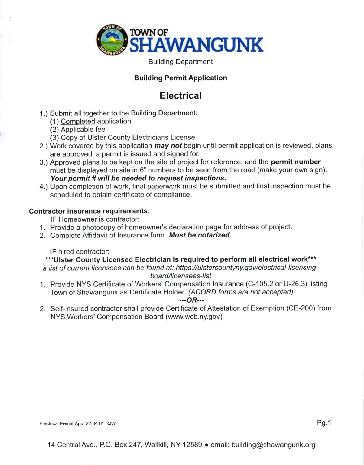

Building Department

### Building Permit Application

## **Electrical**

- 1.) Submit all together to the Building Department:
	- (1 ) Comoleted application.
	- (2) Applicable fee
	- (3) Copy of Ulster County Electricians License
- 2.) Work covered by this application *may not* begin until permit application is reviewed, plans are approved, a permit is issued and signed for.
- 3.) Approved plans to be kept on the site of project for reference, and the **permit number** must be displayed on site in 6" numbers to be seen from the road (make your own sign). Your permit # will be needed to request inspections.
- 4.) Upon completion of work, final paperwork must be submitted and final inspection must be scheduled to obtain certificate of compliance.

#### Contractor insurance requirements:

lF Homeowner is contractor:

- '1. Provide a photocopy of homeowner's declaration page for address of project.
- 2. Complete Affidavit of Insurance form. Must be notarized.

# IF hired contractor: ...<br>\*\*\*Ulster County Licensed Electrician is required to perform all electrical work\*\*\*

a list of current licensees can be found at: https://ulstercountyny.gov/electrical-licensingboard/licensees-list

1. Provide NYS Certificate of Workers' Compensation lnsurance (C-105.2 or U-26.3) listing Town of Shawangunk as Certificate Holder. (ACORD forms are not accepted)

#### ---oR---

2. Self-insured contractor shall provide Certificate of Attestation of Exemption (CE-200) from NYS Workers' Compensation Board (www.wcb.ny.gov)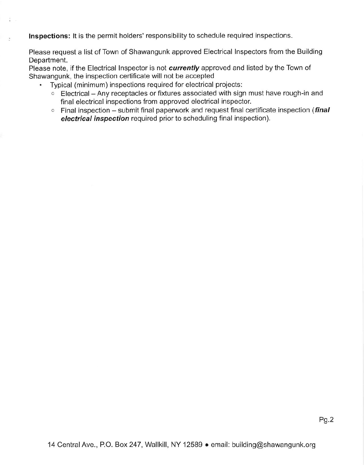. Inspections: It is the permit holders' responsibility to schedule required inspections.

Please request a list of Town of Shawangunk approved Electrical lnspectors from the Building Department.

Please note, if the Electrical Inspector is not *currently* approved and listed by the Town of Shawangunk, the inspection certificate will not be accepted

. Typical (minimum) inspections required for electrical projects:

- $\circ$  Electrical Any receptacles or fixtures associated with sign must have rough-in and final electrical inspections from approved electrical inspector.
- $\circ$  Final inspection submit final paperwork and request final certificate inspection (*final* electrical inspection required prior to scheduling final inspection).